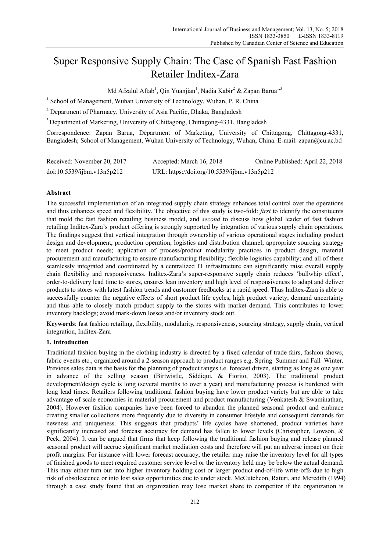# Super Responsive Supply Chain: The Case of Spanish Fast Fashion Retailer Inditex-Zara

Md Afzalul Aftab<sup>1</sup>, Qin Yuanjian<sup>1</sup>, Nadia Kabir<sup>2</sup> & Zapan Barua<sup>1,3</sup>

<sup>1</sup> School of Management, Wuhan University of Technology, Wuhan, P. R. China

<sup>2</sup> Department of Pharmacy, University of Asia Pacific, Dhaka, Bangladesh

<sup>3</sup> Department of Marketing, University of Chittagong, Chittagong-4331, Bangladesh

Correspondence: Zapan Barua, Department of Marketing, University of Chittagong, Chittagong-4331, Bangladesh; School of Management, Wuhan University of Technology, Wuhan, China. E-mail: zapan@cu.ac.bd

| Received: November 20, 2017 | Accepted: March 16, 2018                    | Online Published: April 22, 2018 |
|-----------------------------|---------------------------------------------|----------------------------------|
| doi:10.5539/jbm.v13n5p212   | URL: https://doi.org/10.5539/ijbm.v13n5p212 |                                  |

## **Abstract**

The successful implementation of an integrated supply chain strategy enhances total control over the operations and thus enhances speed and flexibility. The objective of this study is two-fold: *first* to identify the constituents that mold the fast fashion retailing business model, and *second* to discuss how global leader of fast fashion retailing Inditex-Zara's product offering is strongly supported by integration of various supply chain operations. The findings suggest that vertical integration through ownership of various operational stages including product design and development, production operation, logistics and distribution channel; appropriate sourcing strategy to meet product needs; application of process/product modularity practices in product design, material procurement and manufacturing to ensure manufacturing flexibility; flexible logistics capability; and all of these seamlessly integrated and coordinated by a centralized IT infrastructure can significantly raise overall supply chain flexibility and responsiveness. Inditex-Zara's super-responsive supply chain reduces 'bullwhip effect', order-to-delivery lead time to stores, ensures lean inventory and high level of responsiveness to adapt and deliver products to stores with latest fashion trends and customer feedbacks at a rapid speed. Thus Inditex-Zara is able to successfully counter the negative effects of short product life cycles, high product variety, demand uncertainty and thus able to closely match product supply to the stores with market demand. This contributes to lower inventory backlogs; avoid mark-down losses and/or inventory stock out.

**Keywords**: fast fashion retailing, flexibility, modularity, responsiveness, sourcing strategy, supply chain, vertical integration, Inditex-Zara

## **1. Introduction**

Traditional fashion buying in the clothing industry is directed by a fixed calendar of trade fairs, fashion shows, fabric events etc., organized around a 2-season approach to product ranges e.g. Spring–Summer and Fall–Winter. Previous sales data is the basis for the planning of product ranges i.e. forecast driven, starting as long as one year in advance of the selling season (Birtwistle, Siddiqui, & Fiorito, 2003). The traditional product development/design cycle is long (several months to over a year) and manufacturing process is burdened with long lead times. Retailers following traditional fashion buying have lower product variety but are able to take advantage of scale economies in material procurement and product manufacturing (Venkatesh & Swaminathan, 2004). However fashion companies have been forced to abandon the planned seasonal product and embrace creating smaller collections more frequently due to diversity in consumer lifestyle and consequent demands for newness and uniqueness. This suggests that products' life cycles have shortened, product varieties have significantly increased and forecast accuracy for demand has fallen to lower levels (Christopher, Lowson, & Peck, 2004). It can be argued that firms that keep following the traditional fashion buying and release planned seasonal product will accrue significant market mediation costs and therefore will put an adverse impact on their profit margins. For instance with lower forecast accuracy, the retailer may raise the inventory level for all types of finished goods to meet required customer service level or the inventory held may be below the actual demand. This may either turn out into higher inventory holding cost or larger product end-of-life write-offs due to high risk of obsolescence or into lost sales opportunities due to under stock. McCutcheon, Raturi, and Meredith (1994) through a case study found that an organization may lose market share to competitor if the organization is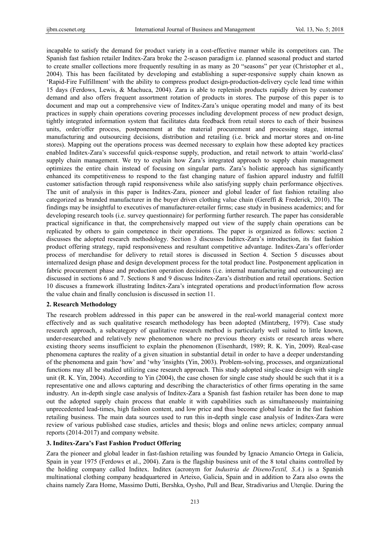incapable to satisfy the demand for product variety in a cost-effective manner while its competitors can. The Spanish fast fashion retailer Inditex-Zara broke the 2-season paradigm i.e. planned seasonal product and started to create smaller collections more frequently resulting in as many as 20 "seasons" per year (Christopher et al., 2004). This has been facilitated by developing and establishing a super-responsive supply chain known as 'Rapid-Fire Fulfillment' with the ability to compress product design-production-delivery cycle lead time within 15 days (Ferdows, Lewis, & Machuca, 2004). Zara is able to replenish products rapidly driven by customer demand and also offers frequent assortment rotation of products in stores. The purpose of this paper is to document and map out a comprehensive view of Inditex-Zara's unique operating model and many of its best practices in supply chain operations covering processes including development process of new product design, tightly integrated information system that facilitates data feedback from retail stores to each of their business units, order/offer process, postponement at the material procurement and processing stage, internal manufacturing and outsourcing decisions, distribution and retailing (i.e. brick and mortar stores and on-line stores). Mapping out the operations process was deemed necessary to explain how these adopted key practices enabled Inditex-Zara's successful quick-response supply, production, and retail network to attain 'world-class' supply chain management. We try to explain how Zara's integrated approach to supply chain management optimizes the entire chain instead of focusing on singular parts. Zara's holistic approach has significantly enhanced its competitiveness to respond to the fast changing nature of fashion apparel industry and fulfill customer satisfaction through rapid responsiveness while also satisfying supply chain performance objectives. The unit of analysis in this paper is Inditex-Zara, pioneer and global leader of fast fashion retailing also categorized as branded manufacturer in the buyer driven clothing value chain (Gereffi & Frederick, 2010). The findings may be insightful to executives of manufacturer-retailer firms; case study in business academics; and for developing research tools (i.e. survey questionnaire) for performing further research. The paper has considerable practical significance in that, the comprehensively mapped out view of the supply chain operations can be replicated by others to gain competence in their operations. The paper is organized as follows: section 2 discusses the adopted research methodology. Section 3 discusses Inditex-Zara's introduction, its fast fashion product offering strategy, rapid responsiveness and resultant competitive advantage. Inditex-Zara's offer/order process of merchandise for delivery to retail stores is discussed in Section 4. Section 5 discusses about internalized design phase and design development process for the total product line. Postponement application in fabric procurement phase and production operation decisions (i.e. internal manufacturing and outsourcing) are discussed in sections 6 and 7. Sections 8 and 9 discuss Inditex-Zara's distribution and retail operations. Section 10 discuses a framework illustrating Inditex-Zara's integrated operations and product/information flow across the value chain and finally conclusion is discussed in section 11.

#### **2. Research Methodology**

The research problem addressed in this paper can be answered in the real-world managerial context more effectively and as such qualitative research methodology has been adopted (Mintzberg, 1979). Case study research approach, a subcategory of qualitative research method is particularly well suited to little known, under-researched and relatively new phenomenon where no previous theory exists or research areas where existing theory seems insufficient to explain the phenomenon (Eisenhardt, 1989; R. K. Yin, 2009). Real-case phenomena captures the reality of a given situation in substantial detail in order to have a deeper understanding of the phenomena and gain 'how' and 'why 'insights (Yin, 2003). Problem-solving, processes, and organizational functions may all be studied utilizing case research approach. This study adopted single-case design with single unit (R. K. Yin, 2004). According to Yin (2004), the case chosen for single case study should be such that it is a representative one and allows capturing and describing the characteristics of other firms operating in the same industry. An in-depth single case analysis of Inditex-Zara a Spanish fast fashion retailer has been done to map out the adopted supply chain process that enable it with capabilities such as simultaneously maintaining unprecedented lead-times, high fashion content, and low price and thus become global leader in the fast fashion retailing business. The main data sources used to run this in-depth single case analysis of Inditex-Zara were review of various published case studies, articles and thesis; blogs and online news articles; company annual reports (2014-2017) and company website.

## **3. Inditex-Zara's Fast Fashion Product Offering**

Zara the pioneer and global leader in fast-fashion retailing was founded by Ignacio Amancio Ortega in Galicia, Spain in year 1975 (Ferdows et al., 2004). Zara is the flagship business unit of the 8 total chains controlled by the holding company called Inditex. Inditex (acronym for *Industria de DisenoTextil, S.A*.) is a Spanish multinational clothing company headquartered in Arteixo, Galicia, Spain and in addition to Zara also owns the chains namely Zara Home, Massimo Dutti, Bershka, Oysho, Pull and Bear, Stradivarius and Uterqüe. During the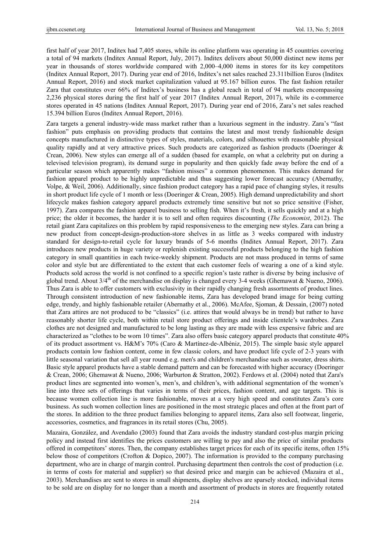first half of year 2017, Inditex had 7,405 stores, while its online platform was operating in 45 countries covering a total of 94 markets (Inditex Annual Report, July, 2017). Inditex delivers about 50,000 distinct new items per year in thousands of stores worldwide compared with 2,000–4,000 items in stores for its key competitors (Inditex Annual Report, 2017). During year end of 2016, Inditex's net sales reached 23.311billion Euros (Inditex Annual Report, 2016) and stock market capitalization valued at 95.167 billion euros. The fast fashion retailer Zara that constitutes over 66% of Inditex's business has a global reach in total of 94 markets encompassing 2,236 physical stores during the first half of year 2017 (Inditex Annual Report, 2017), while its e-commerce stores operated in 45 nations (Inditex Annual Report, 2017). During year end of 2016, Zara's net sales reached 15.394 billion Euros (Inditex Annual Report, 2016).

Zara targets a general industry-wide mass market rather than a luxurious segment in the industry. Zara's "fast fashion" puts emphasis on providing products that contains the latest and most trendy fashionable design concepts manufactured in distinctive types of styles, materials, colors, and silhouettes with reasonable physical quality rapidly and at very attractive prices. Such products are categorized as fashion products (Doeringer & Crean, 2006). New styles can emerge all of a sudden (based for example, on what a celebrity put on during a televised television program), its demand surge in popularity and then quickly fade away before the end of a particular season which apparently makes "fashion misses" a common phenomenon. This makes demand for fashion apparel product to be highly unpredictable and thus suggesting lower forecast accuracy (Abernathy, Volpe, & Weil, 2006). Additionally, since fashion product category has a rapid pace of changing styles, it results in short product life cycle of 1 month or less (Doeringer & Crean, 2005). High demand unpredictability and short lifecycle makes fashion category apparel products extremely time sensitive but not so price sensitive (Fisher, 1997). Zara compares the fashion apparel business to selling fish. When it's fresh, it sells quickly and at a high price; the older it becomes, the harder it is to sell and often requires discounting (*The Economist*, 2012). The retail giant Zara capitalizes on this problem by rapid responsiveness to the emerging new styles. Zara can bring a new product from concept-design-production-store shelves in as little as 3 weeks compared with industry standard for design-to-retail cycle for luxury brands of 5-6 months (Inditex Annual Report, 2017). Zara introduces new products in huge variety or replenish existing successful products belonging to the high fashion category in small quantities in each twice-weekly shipment. Products are not mass produced in terms of same color and style but are differentiated to the extent that each customer feels of wearing a one of a kind style. Products sold across the world is not confined to a specific region's taste rather is diverse by being inclusive of global trend. About  $3/4^{\text{th}}$  of the merchandise on display is changed every 3-4 weeks (Ghemawat & Nueno, 2006). Thus Zara is able to offer customers with exclusivity in their rapidly changing fresh assortments of product lines. Through consistent introduction of new fashionable items, Zara has developed brand image for being cutting edge, trendy, and highly fashionable retailer (Abernathy et al., 2006). McAfee, Sjoman, & Dessain, (2007) noted that Zara attires are not produced to be "classics" (i.e. attires that would always be in trend) but rather to have reasonably shorter life cycle, both within retail store product offerings and inside clientele's wardrobes. Zara clothes are not designed and manufactured to be long lasting as they are made with less expensive fabric and are characterized as "clothes to be worn 10 times". Zara also offers basic category apparel products that constitute 40% of its product assortment vs. H&M's 70% (Caro & Martínez-de-Albéniz, 2015). The simple basic style apparel products contain low fashion content, come in few classic colors, and have product life cycle of 2-3 years with little seasonal variation that sell all year round e.g. men's and children's merchandise such as sweater, dress shirts. Basic style apparel products have a stable demand pattern and can be forecasted with higher accuracy (Doeringer & Crean, 2006; Ghemawat & Nueno, 2006; Warburton & Stratton, 2002). Ferdows et al. (2004) noted that Zara's product lines are segmented into women's, men's, and children's, with additional segmentation of the women's line into three sets of offerings that varies in terms of their prices, fashion content, and age targets. This is because women collection line is more fashionable, moves at a very high speed and constitutes Zara's core business. As such women collection lines are positioned in the most strategic places and often at the front part of the stores. In addition to the three product families belonging to apparel items, Zara also sell footwear, lingerie, accessories, cosmetics, and fragrances in its retail stores (Chu, 2005).

Mazaira, González, and Avendaño (2003) found that Zara avoids the industry standard cost-plus margin pricing policy and instead first identifies the prices customers are willing to pay and also the price of similar products offered in competitors' stores. Then, the company establishes target prices for each of its specific items, often 15% below those of competitors (Crofton & Dopico, 2007). The information is provided to the company purchasing department, who are in charge of margin control. Purchasing department then controls the cost of production (i.e. in terms of costs for material and supplier) so that desired price and margin can be achieved (Mazaira et al., 2003). Merchandises are sent to stores in small shipments, display shelves are sparsely stocked, individual items to be sold are on display for no longer than a month and assortment of products in stores are frequently rotated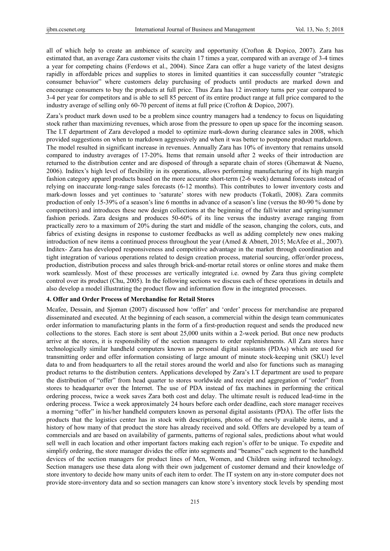all of which help to create an ambience of scarcity and opportunity (Crofton & Dopico, 2007). Zara has estimated that, an average Zara customer visits the chain 17 times a year, compared with an average of 3-4 times a year for competing chains (Ferdows et al., 2004). Since Zara can offer a huge variety of the latest designs rapidly in affordable prices and supplies to stores in limited quantities it can successfully counter "strategic consumer behavior" where customers delay purchasing of products until products are marked down and encourage consumers to buy the products at full price. Thus Zara has 12 inventory turns per year compared to 3-4 per year for competitors and is able to sell 85 percent of its entire product range at full price compared to the industry average of selling only 60-70 percent of items at full price (Crofton & Dopico, 2007).

Zara's product mark down used to be a problem since country managers had a tendency to focus on liquidating stock rather than maximizing revenues, which arose from the pressure to open up space for the incoming season. The I.T department of Zara developed a model to optimize mark-down during clearance sales in 2008, which provided suggestions on when to markdown aggressively and when it was better to postpone product markdown. The model resulted in significant increase in revenues. Annually Zara has 10% of inventory that remains unsold compared to industry averages of 17-20%. Items that remain unsold after 2 weeks of their introduction are returned to the distribution center and are disposed of through a separate chain of stores (Ghemawat & Nueno, 2006). Inditex's high level of flexibility in its operations, allows performing manufacturing of its high margin fashion category apparel products based on the more accurate short-term (2-6 week) demand forecasts instead of relying on inaccurate long-range sales forecasts (6-12 months). This contributes to lower inventory costs and mark-down losses and yet continues to 'saturate' stores with new products (Tokatli, 2008). Zara commits production of only 15-39% of a season's line 6 months in advance of a season's line (versus the 80-90 % done by competitors) and introduces these new design collections at the beginning of the fall/winter and spring/summer fashion periods. Zara designs and produces 50-60% of its line versus the industry average ranging from practically zero to a maximum of 20% during the start and middle of the season, changing the colors, cuts, and fabrics of existing designs in response to customer feedbacks as well as adding completely new ones making introduction of new items a continued process throughout the year (Amed & Abnett, 2015; McAfee et al., 2007). Inditex- Zara has developed responsiveness and competitive advantage in the market through coordination and tight integration of various operations related to design creation process, material sourcing, offer/order process, production, distribution process and sales through brick-and-mortar retail stores or online stores and make them work seamlessly. Most of these processes are vertically integrated i.e. owned by Zara thus giving complete control over its product (Chu, 2005). In the following sections we discuss each of these operations in details and also develop a model illustrating the product flow and information flow in the integrated processes.

#### **4. Offer and Order Process of Merchandise for Retail Stores**

Mcafee, Dessain, and Sjoman (2007) discussed how 'offer' and 'order' process for merchandise are prepared disseminated and executed. At the beginning of each season, a commercial within the design team communicates order information to manufacturing plants in the form of a first-production request and sends the produced new collections to the stores. Each store is sent about 25,000 units within a 2-week period. But once new products arrive at the stores, it is responsibility of the section managers to order replenishments. All Zara stores have technologically similar handheld computers known as personal digital assistants (PDAs) which are used for transmitting order and offer information consisting of large amount of minute stock-keeping unit (SKU) level data to and from headquarters to all the retail stores around the world and also for functions such as managing product returns to the distribution centers. Applications developed by Zara's I.T department are used to prepare the distribution of "offer" from head quarter to stores worldwide and receipt and aggregation of "order" from stores to headquarter over the Internet. The use of PDA instead of fax machines in performing the critical ordering process, twice a week saves Zara both cost and delay. The ultimate result is reduced lead-time in the ordering process. Twice a week approximately 24 hours before each order deadline, each store manager receives a morning "offer" in his/her handheld computers known as personal digital assistants (PDA). The offer lists the products that the logistics center has in stock with descriptions, photos of the newly available items, and a history of how many of that product the store has already received and sold. Offers are developed by a team of commercials and are based on availability of garments, patterns of regional sales, predictions about what would sell well in each location and other important factors making each region's offer to be unique. To expedite and simplify ordering, the store manager divides the offer into segments and "beames" each segment to the handheld devices of the section managers for product lines of Men, Women, and Children using infrared technology. Section managers use these data along with their own judgement of customer demand and their knowledge of store inventory to decide how many units of each item to order. The IT system on any in-store computer does not provide store-inventory data and so section managers can know store's inventory stock levels by spending most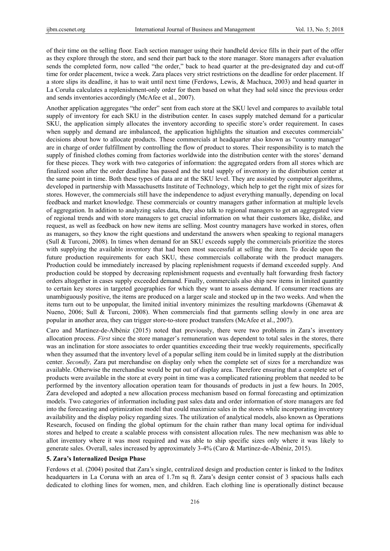of their time on the selling floor. Each section manager using their handheld device fills in their part of the offer as they explore through the store, and send their part back to the store manager. Store managers after evaluation sends the completed form, now called "the order," back to head quarter at the pre-designated day and cut-off time for order placement, twice a week. Zara places very strict restrictions on the deadline for order placement. If a store slips its deadline, it has to wait until next time (Ferdows, Lewis, & Machuca, 2003) and head quarter in La Coruña calculates a replenishment-only order for them based on what they had sold since the previous order and sends inventories accordingly (McAfee et al., 2007).

Another application aggregates "the order" sent from each store at the SKU level and compares to available total supply of inventory for each SKU in the distribution center. In cases supply matched demand for a particular SKU, the application simply allocates the inventory according to specific store's order requirement. In cases when supply and demand are imbalanced, the application highlights the situation and executes commercials' decisions about how to allocate products. These commercials at headquarter also known as "country manager" are in charge of order fulfillment by controlling the flow of product to stores. Their responsibility is to match the supply of finished clothes coming from factories worldwide into the distribution center with the stores' demand for these pieces. They work with two categories of information: the aggregated orders from all stores which are finalized soon after the order deadline has passed and the total supply of inventory in the distribution center at the same point in time. Both these types of data are at the SKU level. They are assisted by computer algorithms, developed in partnership with Massachusetts Institute of Technology, which help to get the right mix of sizes for stores. However, the commercials still have the independence to adjust everything manually, depending on local feedback and market knowledge. These commercials or country managers gather information at multiple levels of aggregation. In addition to analyzing sales data, they also talk to regional managers to get an aggregated view of regional trends and with store managers to get crucial information on what their customers like, dislike, and request, as well as feedback on how new items are selling. Most country managers have worked in stores, often as managers, so they know the right questions and understand the answers when speaking to regional managers (Sull & Turconi, 2008). In times when demand for an SKU exceeds supply the commercials prioritize the stores with supplying the available inventory that had been most successful at selling the item. To decide upon the future production requirements for each SKU, these commercials collaborate with the product managers. Production could be immediately increased by placing replenishment requests if demand exceeded supply. And production could be stopped by decreasing replenishment requests and eventually halt forwarding fresh factory orders altogether in cases supply exceeded demand. Finally, commercials also ship new items in limited quantity to certain key stores in targeted geographies for which they want to assess demand. If consumer reactions are unambiguously positive, the items are produced on a larger scale and stocked up in the two weeks. And when the items turn out to be unpopular, the limited initial inventory minimizes the resulting markdowns (Ghemawat  $\&$ Nueno, 2006; Sull & Turconi, 2008). When commercials find that garments selling slowly in one area are popular in another area, they can trigger store-to-store product transfers (McAfee et al., 2007).

Caro and Martínez-de-Albéniz (2015) noted that previously, there were two problems in Zara's inventory allocation process. *First* since the store manager's remuneration was dependent to total sales in the stores, there was an inclination for store associates to order quantities exceeding their true weekly requirements, specifically when they assumed that the inventory level of a popular selling item could be in limited supply at the distribution center. *Secondly,* Zara put merchandise on display only when the complete set of sizes for a merchandize was available. Otherwise the merchandise would be put out of display area. Therefore ensuring that a complete set of products were available in the store at every point in time was a complicated rationing problem that needed to be performed by the inventory allocation operation team for thousands of products in just a few hours. In 2005, Zara developed and adopted a new allocation process mechanism based on formal forecasting and optimization models. Two categories of information including past sales data and order information of store managers are fed into the forecasting and optimization model that could maximize sales in the stores while incorporating inventory availability and the display policy regarding sizes. The utilization of analytical models, also known as Operations Research, focused on finding the global optimum for the chain rather than many local optima for individual stores and helped to create a scalable process with consistent allocation rules. The new mechanism was able to allot inventory where it was most required and was able to ship specific sizes only where it was likely to generate sales. Overall, sales increased by approximately 3-4% (Caro & Martínez-de-Albéniz, 2015).

#### **5. Zara's Internalized Design Phase**

Ferdows et al. (2004) posited that Zara's single, centralized design and production center is linked to the Inditex headquarters in La Coruna with an area of 1.7m sq ft. Zara's design center consist of 3 spacious halls each dedicated to clothing lines for women, men, and children. Each clothing line is operationally distinct because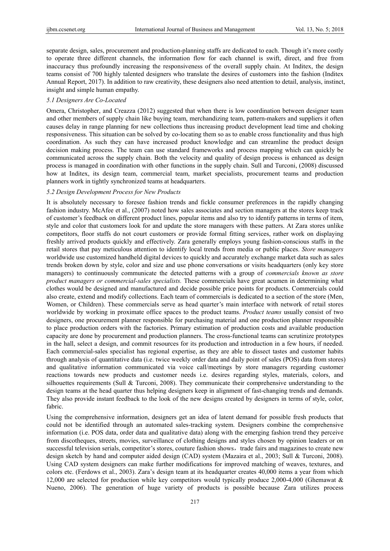separate design, sales, procurement and production-planning staffs are dedicated to each. Though it's more costly to operate three different channels, the information flow for each channel is swift, direct, and free from inaccuracy thus profoundly increasing the responsiveness of the overall supply chain. At Inditex, the design teams consist of 700 highly talented designers who translate the desires of customers into the fashion (Inditex Annual Report, 2017). In addition to raw creativity, these designers also need attention to detail, analysis, instinct, insight and simple human empathy.

#### *5.1 Designers Are Co-Located*

Omera, Christopher, and Creazza (2012) suggested that when there is low coordination between designer team and other members of supply chain like buying team, merchandizing team, pattern-makers and suppliers it often causes delay in range planning for new collections thus increasing product development lead time and choking responsiveness. This situation can be solved by co-locating them so as to enable cross functionality and thus high coordination. As such they can have increased product knowledge and can streamline the product design decision making process. The team can use standard frameworks and process mapping which can quickly be communicated across the supply chain. Both the velocity and quality of design process is enhanced as design process is managed in coordination with other functions in the supply chain. Sull and Turconi, (2008) discussed how at Inditex, its design team, commercial team, market specialists, procurement teams and production planners work in tightly synchronized teams at headquarters.

## *5.2 Design Development Process for New Products*

It is absolutely necessary to foresee fashion trends and fickle consumer preferences in the rapidly changing fashion industry. McAfee et al., (2007) noted how sales associates and section managers at the stores keep track of customer's feedback on different product lines, popular items and also try to identify patterns in terms of item, style and color that customers look for and update the store managers with these patters. At Zara stores unlike competitors, floor staffs do not court customers or provide formal fitting services, rather work on displaying freshly arrived products quickly and effectively. Zara generally employs young fashion-conscious staffs in the retail stores that pay meticulous attention to identify local trends from media or public places. *Store managers* worldwide use customized handheld digital devices to quickly and accurately exchange market data such as sales trends broken down by style, color and size and use phone conversations or visits headquarters (only key store managers) to continuously communicate the detected patterns with a group of *commercials known as store product managers or commercial-sales specialists.* These commercials have great acumen in determining what clothes would be designed and manufactured and decide possible price points for products. Commercials could also create, extend and modify collections. Each team of commercials is dedicated to a section of the store (Men, Women, or Children). These commercials serve as head quarter's main interface with network of retail stores worldwide by working in proximate office spaces to the product teams. *Product teams* usually consist of two designers, one procurement planner responsible for purchasing material and one production planner responsible to place production orders with the factories. Primary estimation of production costs and available production capacity are done by procurement and production planners. The cross-functional teams can scrutinize prototypes in the hall, select a design, and commit resources for its production and introduction in a few hours, if needed. Each commercial-sales specialist has regional expertise, as they are able to dissect tastes and customer habits through analysis of quantitative data (i.e. twice weekly order data and daily point of sales (POS) data from stores) and qualitative information communicated via voice call/meetings by store managers regarding customer reactions towards new products and customer needs i.e. desires regarding styles, materials, colors, and silhouettes requirements (Sull & Turconi, 2008). They communicate their comprehensive understanding to the design teams at the head quarter thus helping designers keep in alignment of fast-changing trends and demands. They also provide instant feedback to the look of the new designs created by designers in terms of style, color, fabric.

Using the comprehensive information, designers get an idea of latent demand for possible fresh products that could not be identified through an automated sales-tracking system. Designers combine the comprehensive information (i.e. POS data, order data and qualitative data) along with the emerging fashion trend they perceive from discotheques, streets, movies, surveillance of clothing designs and styles chosen by opinion leaders or on successful television serials, competitor's stores, couture fashion shows, trade fairs and magazines to create new design sketch by hand and computer aided design (CAD) system (Mazaira et al., 2003; Sull & Turconi, 2008). Using CAD system designers can make further modifications for improved matching of weaves, textures, and colors etc. (Ferdows et al., 2003). Zara's design team at its headquarter creates 40,000 items a year from which 12,000 are selected for production while key competitors would typically produce 2,000-4,000 (Ghemawat & Nueno, 2006). The generation of huge variety of products is possible because Zara utilizes process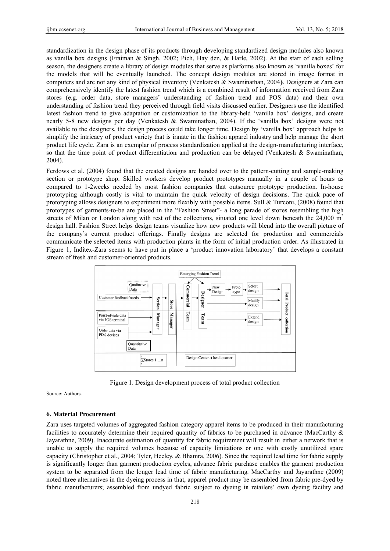standardization in the design phase of its products through developing standardized design modules also known as vanilla box designs (Fraiman & Singh, 2002; Pich, Hay den, & Harle, 2002). At the start of each selling season, the designers create a library of design modules that serve as platforms also known as 'vanilla boxes' for the models that will be eventually launched. The concept design modules are stored in image format in computers and are not any kind of physical inventory (Venkatesh & Swaminathan, 2004). Designers at Zara can comprehensively identify the latest fashion trend which is a combined result of information received from Zara stores (e.g. order data, store managers' understanding of fashion trend and POS data) and their own understanding of fashion trend they perceived through field visits discussed earlier. Designers use the identified latest fashion trend to give adaptation or customization to the library-held 'vanilla box' designs, and create nearly 5-8 new designs per day (Venkatesh & Swaminathan, 2004). If the 'vanilla box' designs were not available to the designers, the design process could take longer time. Design by 'vanilla box' approach helps to simplify the intricacy of product variety that is innate in the fashion apparel industry and help manage the short product life cycle. Zara is an exemplar of process standardization applied at the design-manufacturing interface, so that the time point of product differentiation and production can be delayed (Venkatesh & Swaminathan, 2004).

Ferdows et al. (2004) found that the created designs are handed over to the pattern-cutting and sample-making section or prototype shop. Skilled workers develop product prototypes manually in a couple of hours as compared to 1-2weeks needed by most fashion companies that outsource prototype production. In-house prototyping although costly is vital to maintain the quick velocity of design decisions. The quick pace of prototyping allows designers to experiment more flexibly with possible items. Sull & Turconi, (2008) found that prototypes of garments-to-be are placed in the "Fashion Street"- a long parade of stores resembling the high streets of Milan or London along with rest of the collections, situated one level down beneath the  $24,000 \text{ m}^2$ design hall. Fashion Street helps design teams visualize how new products will blend into the overall picture of the company's current product offerings. Finally designs are selected for production and commercials communicate the selected items with production plants in the form of initial production order. As illustrated in Figure 1, Inditex-Zara seems to have put in place a 'product innovation laboratory' that develops a constant stream of fresh and customer-oriented products.



Figure 1. Design development process of total product collection

Source: Authors.

#### **6. Mater rial Procurem ment**

Zara uses targeted volumes of aggregated fashion category apparel items to be produced in their manufacturing facilities to accurately determine their required quantity of fabrics to be purchased in advance (MacCarthy & Jayarathne, 2009). Inaccurate estimation of quantity for fabric requirement will result in either a network that is unable to supply the required volumes because of capacity limitations or one with costly unutilized spare capacity (Christopher et al., 2004; Tyler, Heeley, & Bhamra, 2006). Since the required lead time for fabric supply is significantly longer than garment production cycles, advance fabric purchase enables the garment production system to be separated from the longer lead time of fabric manufacturing. MacCarthy and Jayarathne (2009) noted three alternatives in the dyeing process in that, apparel product may be assembled from fabric pre-dyed by fabric manufacturers; assembled from undyed fabric subject to dyeing in retailers' own dyeing facility and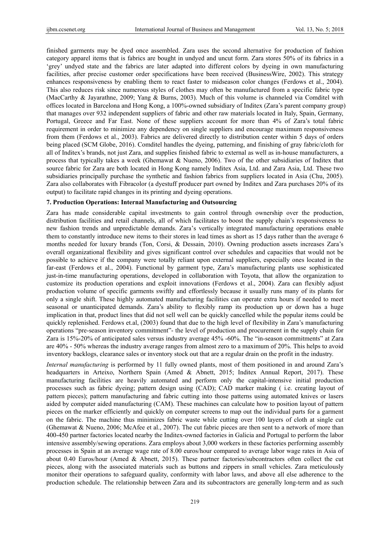finished garments may be dyed once assembled. Zara uses the second alternative for production of fashion category apparel items that is fabrics are bought in undyed and uncut form. Zara stores 50% of its fabrics in a 'grey' undyed state and the fabrics are later adapted into different colors by dyeing in own manufacturing facilities, after precise customer order specifications have been received (BusinessWire, 2002). This strategy enhances responsiveness by enabling them to react faster to midseason color changes (Ferdows et al., 2004). This also reduces risk since numerous styles of clothes may often be manufactured from a specific fabric type (MacCarthy & Jayarathne, 2009; Yang & Burns, 2003). Much of this volume is channeled via Comditel with offices located in Barcelona and Hong Kong, a 100%-owned subsidiary of Inditex (Zara's parent company group) that manages over 932 independent suppliers of fabric and other raw materials located in Italy, Spain, Germany, Portugal, Greece and Far East. None of these suppliers account for more than 4% of Zara's total fabric requirement in order to minimize any dependency on single suppliers and encourage maximum responsiveness from them (Ferdows et al., 2003). Fabrics are delivered directly to distribution center within 5 days of orders being placed (SCM Globe, 2016). Comditel handles the dyeing, patterning, and finishing of gray fabric/cloth for all of Inditex's brands, not just Zara, and supplies finished fabric to external as well as in-house manufacturers, a process that typically takes a week (Ghemawat & Nueno, 2006). Two of the other subsidiaries of Inditex that source fabric for Zara are both located in Hong Kong namely Inditex Asia, Ltd. and Zara Asia, Ltd. These two subsidiaries principally purchase the synthetic and fashion fabrics from suppliers located in Asia (Chu, 2005). Zara also collaborates with Fibracolor (a dyestuff producer part owned by Inditex and Zara purchases 20% of its output) to facilitate rapid changes in its printing and dyeing operations.

#### **7. Production Operations: Internal Manufacturing and Outsourcing**

Zara has made considerable capital investments to gain control through ownership over the production, distribution facilities and retail channels, all of which facilitates to boost the supply chain's responsiveness to new fashion trends and unpredictable demands. Zara's vertically integrated manufacturing operations enable them to constantly introduce new items to their stores in lead times as short as 15 days rather than the average 6 months needed for luxury brands (Ton, Corsi, & Dessain, 2010). Owning production assets increases Zara's overall organizational flexibility and gives significant control over schedules and capacities that would not be possible to achieve if the company were totally reliant upon external suppliers, especially ones located in the far-east (Ferdows et al., 2004). Functional by garment type, Zara's manufacturing plants use sophisticated just-in-time manufacturing operations, developed in collaboration with Toyota, that allow the organization to customize its production operations and exploit innovations (Ferdows et al., 2004). Zara can flexibly adjust production volume of specific garments swiftly and effortlessly because it usually runs many of its plants for only a single shift. These highly automated manufacturing facilities can operate extra hours if needed to meet seasonal or unanticipated demands. Zara's ability to flexibly ramp its production up or down has a huge implication in that, product lines that did not sell well can be quickly cancelled while the popular items could be quickly replenished. Ferdows et.al, (2003) found that due to the high level of flexibility in Zara's manufacturing operations "pre-season inventory commitment"- the level of production and procurement in the supply chain for Zara is 15%-20% of anticipated sales versus industry average 45% -60%. The "in-season commitments" at Zara are 40% - 50% whereas the industry average ranges from almost zero to a maximum of 20%. This helps to avoid inventory backlogs, clearance sales or inventory stock out that are a regular drain on the profit in the industry.

*Internal manufacturing* is performed by 11 fully owned plants, most of them positioned in and around Zara's headquarters in Arteixo, Northern Spain (Amed & Abnett, 2015; Inditex Annual Report, 2017). These manufacturing facilities are heavily automated and perform only the capital-intensive initial production processes such as fabric dyeing; pattern design using (CAD); CAD marker making ( i.e. creating layout of pattern pieces); pattern manufacturing and fabric cutting into those patterns using automated knives or lasers aided by computer aided manufacturing (CAM). These machines can calculate how to position layout of pattern pieces on the marker efficiently and quickly on computer screens to map out the individual parts for a garment on the fabric. The machine thus minimizes fabric waste while cutting over 100 layers of cloth at single cut (Ghemawat & Nueno, 2006; McAfee et al., 2007). The cut fabric pieces are then sent to a network of more than 400-450 partner factories located nearby the Inditex-owned factories in Galicia and Portugal to perform the labor intensive assembly/sewing operations. Zara employs about 3,000 workers in these factories performing assembly processes in Spain at an average wage rate of 8.00 euros/hour compared to average labor wage rates in Asia of about 0.40 Euros/hour (Amed & Abnett, 2015). These partner factories/subcontractors often collect the cut pieces, along with the associated materials such as buttons and zippers in small vehicles. Zara meticulously monitor their operations to safeguard quality, conformity with labor laws, and above all else adherence to the production schedule. The relationship between Zara and its subcontractors are generally long-term and as such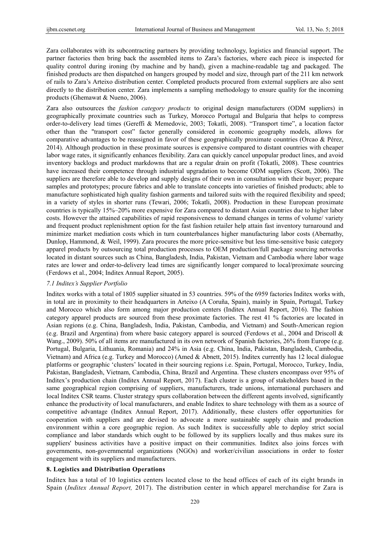Zara collaborates with its subcontracting partners by providing technology, logistics and financial support. The partner factories then bring back the assembled items to Zara's factories, where each piece is inspected for quality control during ironing (by machine and by hand), given a machine-readable tag and packaged. The finished products are then dispatched on hangers grouped by model and size, through part of the 211 km network of rails to Zara's Arteixo distribution center. Completed products procured from external suppliers are also sent directly to the distribution center. Zara implements a sampling methodology to ensure quality for the incoming products (Ghemawat & Nueno, 2006).

Zara also outsources the *fashion category products* to original design manufacturers (ODM suppliers) in geographically proximate countries such as Turkey, Morocco Portugal and Bulgaria that helps to compress order-to-delivery lead times (Gereffi & Memedovic, 2003; Tokatli, 2008). "Transport time", a location factor other than the "transport cost" factor generally considered in economic geography models, allows for comparative advantages to be reassigned in favor of these geographically proximate countries (Orcao & Pérez, 2014). Although production in these proximate sources is expensive compared to distant countries with cheaper labor wage rates, it significantly enhances flexibility. Zara can quickly cancel unpopular product lines, and avoid inventory backlogs and product markdowns that are a regular drain on profit (Tokatli, 2008). These countries have increased their competence through industrial upgradation to become ODM suppliers (Scott, 2006). The suppliers are therefore able to develop and supply designs of their own in consultation with their buyer; prepare samples and prototypes; procure fabrics and able to translate concepts into varieties of finished products; able to manufacture sophisticated high quality fashion garments and tailored suits with the required flexibility and speed; in a variety of styles in shorter runs (Tewari, 2006; Tokatli, 2008). Production in these European proximate countries is typically 15%–20% more expensive for Zara compared to distant Asian countries due to higher labor costs. However the attained capabilities of rapid responsiveness to demand changes in terms of volume/ variety and frequent product replenishment option for the fast fashion retailer help attain fast inventory turnaround and minimize market mediation costs which in turn counterbalances higher manufacturing labor costs (Abernathy, Dunlop, Hammond, & Weil, 1999). Zara procures the more price-sensitive but less time-sensitive basic category apparel products by outsourcing total production processes to OEM production/full package sourcing networks located in distant sources such as China, Bangladesh, India, Pakistan, Vietnam and Cambodia where labor wage rates are lower and order-to-delivery lead times are significantly longer compared to local/proximate sourcing (Ferdows et al., 2004; Inditex Annual Report, 2005).

#### *7.1 Inditex's Supplier Portfolio*

Inditex works with a total of 1805 supplier situated in 53 countries. 59% of the 6959 factories Inditex works with, in total are in proximity to their headquarters in Arteixo (A Coruña, Spain), mainly in Spain, Portugal, Turkey and Morocco which also form among major production centers (Inditex Annual Report, 2016). The fashion category apparel products are sourced from these proximate factories. The rest 41 % factories are located in Asian regions (e.g. China, Bangladesh, India, Pakistan, Cambodia, and Vietnam) and South-American region (e.g. Brazil and Argentina) from where basic category apparel is sourced (Ferdows et al., 2004 and Driscoll & Wang., 2009). 50% of all items are manufactured in its own network of Spanish factories, 26% from Europe (e.g. Portugal, Bulgaria, Lithuania, Romania) and 24% in Asia (e.g. China, India, Pakistan, Bangladesh, Cambodia, Vietnam) and Africa (e.g. Turkey and Morocco) (Amed & Abnett, 2015). Inditex currently has 12 local dialogue platforms or geographic 'clusters' located in their sourcing regions i.e. Spain, Portugal, Morocco, Turkey, India, Pakistan, Bangladesh, Vietnam, Cambodia, China, Brazil and Argentina. These clusters encompass over 95% of Inditex's production chain (Inditex Annual Report, 2017). Each cluster is a group of stakeholders based in the same geographical region comprising of suppliers, manufacturers, trade unions, international purchasers and local Inditex CSR teams. Cluster strategy spurs collaboration between the different agents involved, significantly enhance the productivity of local manufacturers, and enable Inditex to share technology with them as a source of competitive advantage (Inditex Annual Report, 2017). Additionally, these clusters offer opportunities for cooperation with suppliers and are devised to advocate a more sustainable supply chain and production environment within a core geographic region. As such Inditex is successfully able to deploy strict social compliance and labor standards which ought to be followed by its suppliers locally and thus makes sure its suppliers' business activities have a positive impact on their communities. Inditex also joins forces with governments, non-governmental organizations (NGOs) and worker/civilian associations in order to foster engagement with its suppliers and manufacturers.

## **8. Logistics and Distribution Operations**

Inditex has a total of 10 logistics centers located close to the head offices of each of its eight brands in Spain (*Inditex Annual Report,* 2017). The distribution center in which apparel merchandise for Zara is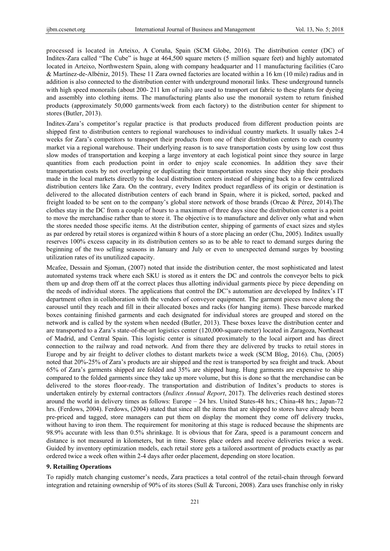processed is located in Arteixo, A Coruña, Spain (SCM Globe, 2016). The distribution center (DC) of Inditex-Zara called "The Cube" is huge at 464,500 square meters (5 million square feet) and highly automated located in Arteixo, Northwestern Spain, along with company headquarter and 11 manufacturing facilities (Caro & Martínez-de-Albéniz, 2015). These 11 Zara owned factories are located within a 16 km (10 mile) radius and in addition is also connected to the distribution center with underground monorail links. These underground tunnels with high speed monorails (about 200-211 km of rails) are used to transport cut fabric to these plants for dyeing and assembly into clothing items. The manufacturing plants also use the monorail system to return finished products (approximately 50,000 garments/week from each factory) to the distribution center for shipment to stores (Butler, 2013).

Inditex-Zara's competitor's regular practice is that products produced from different production points are shipped first to distribution centers to regional warehouses to individual country markets. It usually takes 2-4 weeks for Zara's competitors to transport their products from one of their distribution centers to each country market via a regional warehouse. Their underlying reason is to save transportation costs by using low cost thus slow modes of transportation and keeping a large inventory at each logistical point since they source in large quantities from each production point in order to enjoy scale economies. In addition they save their transportation costs by not overlapping or duplicating their transportation routes since they ship their products made in the local markets directly to the local distribution centers instead of shipping back to a few centralized distribution centers like Zara. On the contrary, every Inditex product regardless of its origin or destination is delivered to the allocated distribution centers of each brand in Spain, where it is picked, sorted, packed and freight loaded to be sent on to the company's global store network of those brands (Orcao & Pérez, 2014).The clothes stay in the DC from a couple of hours to a maximum of three days since the distribution center is a point to move the merchandise rather than to store it. The objective is to manufacture and deliver only what and when the stores needed those specific items. At the distribution center, shipping of garments of exact sizes and styles as par ordered by retail stores is organized within 8 hours of a store placing an order (Chu, 2005). Inditex usually reserves 100% excess capacity in its distribution centers so as to be able to react to demand surges during the beginning of the two selling seasons in January and July or even to unexpected demand surges by boosting utilization rates of its unutilized capacity.

Mcafee, Dessain and Sjoman, (2007) noted that inside the distribution center, the most sophisticated and latest automated systems track where each SKU is stored as it enters the DC and controls the conveyor belts to pick them up and drop them off at the correct places thus allotting individual garments piece by piece depending on the needs of individual stores. The applications that control the DC's automation are developed by Inditex's IT department often in collaboration with the vendors of conveyor equipment. The garment pieces move along the carousel until they reach and fill in their allocated boxes and racks (for hanging items). These barcode marked boxes containing finished garments and each designated for individual stores are grouped and stored on the network and is called by the system when needed (Butler, 2013). These boxes leave the distribution center and are transported to a Zara's state-of-the-art logistics center (120,000-square-meter) located in Zaragoza, Northeast of Madrid, and Central Spain. This logistic center is situated proximately to the local airport and has direct connection to the railway and road network. And from there they are delivered by trucks to retail stores in Europe and by air freight to deliver clothes to distant markets twice a week (SCM Blog, 2016). Chu, (2005) noted that 20%-25% of Zara's products are air shipped and the rest is transported by sea freight and truck. About 65% of Zara's garments shipped are folded and 35% are shipped hung. Hung garments are expensive to ship compared to the folded garments since they take up more volume, but this is done so that the merchandise can be delivered to the stores floor-ready. The transportation and distribution of Inditex's products to stores is undertaken entirely by external contractors (*Inditex Annual Report*, 2017). The deliveries reach destined stores around the world in delivery times as follows: Europe – 24 hrs. United States-48 hrs.; China-48 hrs.; Japan-72 hrs. (Ferdows, 2004). Ferdows, (2004) stated that since all the items that are shipped to stores have already been pre-priced and tagged, store managers can put them on display the moment they come off delivery trucks, without having to iron them. The requirement for monitoring at this stage is reduced because the shipments are 98.9% accurate with less than 0.5% shrinkage. It is obvious that for Zara, speed is a paramount concern and distance is not measured in kilometers, but in time. Stores place orders and receive deliveries twice a week. Guided by inventory optimization models, each retail store gets a tailored assortment of products exactly as par ordered twice a week often within 2-4 days after order placement, depending on store location.

#### **9. Retailing Operations**

To rapidly match changing customer's needs, Zara practices a total control of the retail-chain through forward integration and retaining ownership of 90% of its stores (Sull & Turconi, 2008). Zara uses franchise only in risky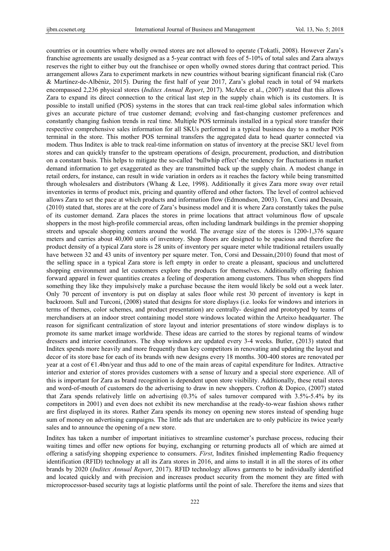countries or in countries where wholly owned stores are not allowed to operate (Tokatli, 2008). However Zara's franchise agreements are usually designed as a 5-year contract with fees of 5-10% of total sales and Zara always reserves the right to either buy out the franchisee or open wholly owned stores during that contract period. This arrangement allows Zara to experiment markets in new countries without bearing significant financial risk (Caro & Martínez-de-Albéniz, 2015). During the first half of year 2017, Zara's global reach in total of 94 markets encompassed 2,236 physical stores (*Inditex Annual Report*, 2017). McAfee et al., (2007) stated that this allows Zara to expand its direct connection to the critical last step in the supply chain which is its customers. It is possible to install unified (POS) systems in the stores that can track real-time global sales information which gives an accurate picture of true customer demand; evolving and fast-changing customer preferences and constantly changing fashion trends in real time. Multiple POS terminals installed in a typical store transfer their respective comprehensive sales information for all SKUs performed in a typical business day to a mother POS terminal in the store. This mother POS terminal transfers the aggregated data to head quarter connected via modem. Thus Inditex is able to track real-time information on status of inventory at the precise SKU level from stores and can quickly transfer to the upstream operations of design, procurement, production, and distribution on a constant basis. This helps to mitigate the so-called 'bullwhip effect'-the tendency for fluctuations in market demand information to get exaggerated as they are transmitted back up the supply chain. A modest change in retail orders, for instance, can result in wide variation in orders as it reaches the factory while being transmitted through wholesalers and distributors (Whang & Lee, 1998). Additionally it gives Zara more sway over retail inventories in terms of product mix, pricing and quantity offered and other factors. The level of control achieved allows Zara to set the pace at which products and information flow (Edmondson, 2003). Ton, Corsi and Dessain, (2010) stated that, stores are at the core of Zara's business model and it is where Zara constantly takes the pulse of its customer demand. Zara places the stores in prime locations that attract voluminous flow of upscale shoppers in the most high-profile commercial areas, often including landmark buildings in the premier shopping streets and upscale shopping centers around the world. The average size of the stores is 1200-1,376 square meters and carries about 40,000 units of inventory. Shop floors are designed to be spacious and therefore the product density of a typical Zara store is 28 units of inventory per square meter while traditional retailers usually have between 32 and 43 units of inventory per square meter. Ton, Corsi and Dessain,(2010) found that most of the selling space in a typical Zara store is left empty in order to create a pleasant, spacious and uncluttered shopping environment and let customers explore the products for themselves. Additionally offering fashion forward apparel in fewer quantities creates a feeling of desperation among customers. Thus when shoppers find something they like they impulsively make a purchase because the item would likely be sold out a week later. Only 70 percent of inventory is put on display at sales floor while rest 30 percent of inventory is kept in backroom. Sull and Turconi, (2008) stated that designs for store displays (i.e. looks for windows and interiors in terms of themes, color schemes, and product presentation) are centrally- designed and prototyped by teams of merchandisers at an indoor street containing model store windows located within the Arteixo headquarter. The reason for significant centralization of store layout and interior presentations of store window displays is to promote its same market image worldwide. These ideas are carried to the stores by regional teams of window dressers and interior coordinators. The shop windows are updated every 3-4 weeks. Butler, (2013) stated that Inditex spends more heavily and more frequently than key competitors in renovating and updating the layout and decor of its store base for each of its brands with new designs every 18 months. 300-400 stores are renovated per year at a cost of €1.4bn/year and thus add to one of the main areas of capital expenditure for Inditex. Attractive interior and exterior of stores provides customers with a sense of luxury and a special store experience. All of this is important for Zara as brand recognition is dependent upon store visibility. Additionally, these retail stores and word-of-mouth of customers do the advertising to draw in new shoppers. Crofton & Dopico, (2007) stated that Zara spends relatively little on advertising (0.3% of sales turnover compared with 3.5%-5.4% by its competitors in 2001) and even does not exhibit its new merchandise at the ready-to-wear fashion shows rather are first displayed in its stores. Rather Zara spends its money on opening new stores instead of spending huge sum of money on advertising campaigns. The little ads that are undertaken are to only publicize its twice yearly sales and to announce the opening of a new store.

Inditex has taken a number of important initiatives to streamline customer's purchase process, reducing their waiting times and offer new options for buying, exchanging or returning products all of which are aimed at offering a satisfying shopping experience to consumers. *First*, Inditex finished implementing Radio frequency identification (RFID) technology at all its Zara stores in 2016, and aims to install it in all the stores of its other brands by 2020 (*Inditex Annual Report*, 2017). RFID technology allows garments to be individually identified and located quickly and with precision and increases product security from the moment they are fitted with microprocessor-based security tags at logistic platforms until the point of sale. Therefore the items and sizes that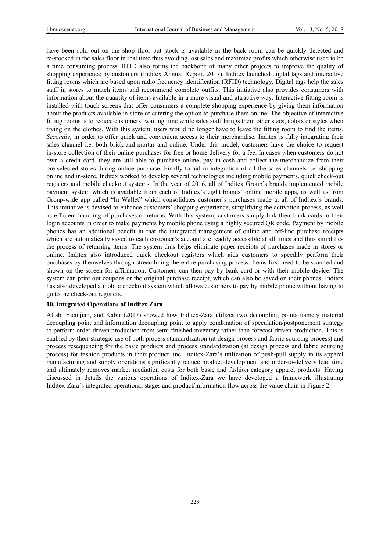have been sold out on the shop floor but stock is available in the back room can be quickly detected and re-stocked in the sales floor in real time thus avoiding lost sales and maximize profits which otherwise used to be a time consuming process. RFID also forms the backbone of many other projects to improve the quality of shopping experience by customers (Inditex Annual Report, 2017). Inditex launched digital tags and interactive fitting rooms which are based upon radio frequency identification (RFID) technology. Digital tags help the sales staff in stores to match items and recommend complete outfits. This initiative also provides consumers with information about the quantity of items available in a more visual and attractive way. Interactive fitting room is installed with touch screens that offer consumers a complete shopping experience by giving them information about the products available in-store or catering the option to purchase them online. The objective of interactive fitting rooms is to reduce customers' waiting time while sales staff brings them other sizes, colors or styles when trying on the clothes. With this system, users would no longer have to leave the fitting room to find the items. *Secondly,* in order to offer quick and convenient access to their merchandise, Inditex is fully integrating their sales channel i.e. both brick-and-mortar and online. Under this model, customers have the choice to request in-store collection of their online purchases for free or home delivery for a fee. In cases when customers do not own a credit card, they are still able to purchase online, pay in cash and collect the merchandize from their pre-selected stores during online purchase. Finally to aid in integration of all the sales channels i.e. shopping online and in-store, Inditex worked to develop several technologies including mobile payments, quick check-out registers and mobile checkout systems. In the year of 2016, all of Inditex Group's brands implemented mobile payment system which is available from each of Inditex's eight brands' online mobile apps, as well as from Group-wide app called "In Wallet" which consolidates customer's purchases made at all of Inditex's brands. This initiative is devised to enhance customers' shopping experience, simplifying the activation process, as well as efficient handling of purchases or returns. With this system, customers simply link their bank cards to their login accounts in order to make payments by mobile phone using a highly secured QR code. Payment by mobile phones has an additional benefit in that the integrated management of online and off-line purchase receipts which are automatically saved to each customer's account are readily accessible at all times and thus simplifies the process of returning items. The system thus helps eliminate paper receipts of purchases made in stores or online. Inditex also introduced quick checkout registers which aids customers to speedily perform their purchases by themselves through streamlining the entire purchasing process. Items first need to be scanned and shown on the screen for affirmation. Customers can then pay by bank card or with their mobile device. The system can print out coupons or the original purchase receipt, which can also be saved on their phones. Inditex has also developed a mobile checkout system which allows customers to pay by mobile phone without having to go to the check-out registers.

#### **10. Integrated Operations of Inditex Zara**

Aftab, Yuanjian, and Kabir (2017) showed how Inditex-Zara utilizes two decoupling points namely material decoupling point and information decoupling point to apply combination of speculation/postponement strategy to perform order-driven production from semi-finished inventory rather than forecast-driven production. This is enabled by their strategic use of both process standardization (at design process and fabric sourcing process) and process resequencing for the basic products and process standardization (at design process and fabric sourcing process) for fashion products in their product line. Inditex-Zara's utilization of push-pull supply in its apparel manufacturing and supply operations significantly reduce product development and order-to-delivery lead time and ultimately removes market mediation costs for both basic and fashion category apparel products. Having discussed in details the various operations of Inditex-Zara we have developed a framework illustrating Inditex-Zara's integrated operational stages and product/information flow across the value chain in Figure 2.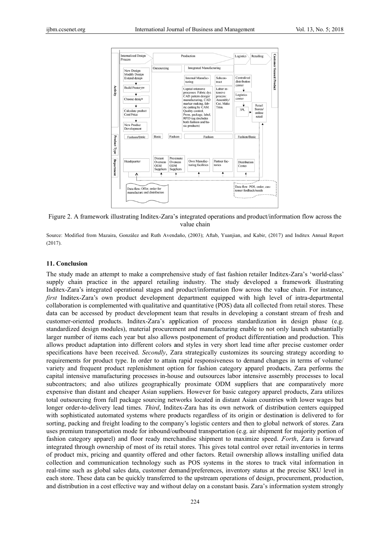

Figure 2. A framework illustrating Inditex-Zara's integrated operations and product/information flow across the value chain

Source: Modified from Mazaira, González and Ruth Avendaño, (2003); Aftab, Yuanjian, and Kabir, (2017) and Inditex Annual Report (2017).

## 11. Conclusion

The study made an attempt to make a comprehensive study of fast fashion retailer Inditex-Zara's 'world-class' supply chain practice in the apparel retailing industry. The study developed a framework illustrating Inditex-Zara's integrated operational stages and product/information flow across the value chain. For instance, first Inditex-Zara's own product development department equipped with high level of intra-departmental collaboration is complemented with qualitative and quantitative (POS) data all collected from retail stores. These data can be accessed by product development team that results in developing a constant stream of fresh and customer-oriented products. Inditex-Zara's application of process standardization in design phase (e.g. standardized design modules), material procurement and manufacturing enable to not only launch substantially larger number of items each year but also allows postponement of product differentiation and production. This allows product adaptation into different colors and styles in very short lead time after precise customer order specifications have been received. Secondly, Zara strategically customizes its sourcing strategy according to requirements for product type. In order to attain rapid responsiveness to demand changes in terms of volume/ variety and frequent product replenishment option for fashion category apparel products, Zara performs the capital intensive manufacturing processes in-house and outsources labor intensive assembly processes to local subcontractors; and also utilizes geographically proximate ODM suppliers that are comparatively more expensive than distant and cheaper Asian suppliers. However for basic category apparel products, Zara utilizes total outsourcing from full package sourcing networks located in distant Asian countries with lower wages but longer order-to-delivery lead times. Third, Inditex-Zara has its own network of distribution centers equipped with sophisticated automated systems where products regardless of its origin or destination is delivered to for sorting, packing and freight loading to the company's logistic centers and then to global network of stores. Zara uses premium transportation mode for inbound/outbound transportation (e.g. air shipment for majority portion of fashion category apparel) and floor ready merchandise shipment to maximize speed. Forth, Zara is forward integrated through ownership of most of its retail stores. This gives total control over retail inventories in terms of product mix, pricing and quantity offered and other factors. Retail ownership allows installing unified data collection and communication technology such as POS systems in the stores to track vital information in real-time such as global sales data, customer demand/preferences, inventory status at the precise SKU level in each store. These data can be quickly transferred to the upstream operations of design, procurement, production, and distribution in a cost effective way and without delay on a constant basis. Zara's information system strongly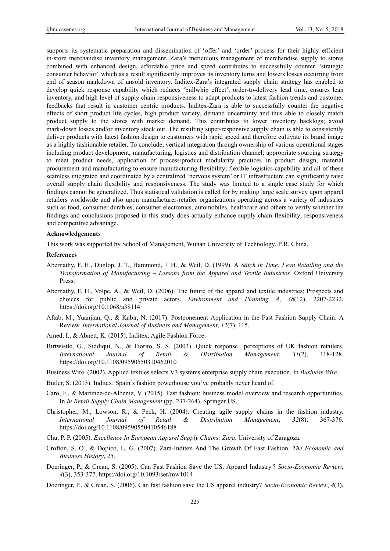supports its systematic preparation and dissemination of 'offer' and 'order' process for their highly efficient in-store merchandise inventory management. Zara's meticulous management of merchandise supply to stores combined with enhanced design, affordable price and speed contributes to successfully counter "strategic consumer behavior" which as a result significantly improves its inventory turns and lowers losses occurring from end of season markdown of unsold inventory. Inditex-Zara's integrated supply chain strategy has enabled to develop quick response capability which reduces 'bullwhip effect', order-to-delivery lead time, ensures lean inventory, and high level of supply chain responsiveness to adapt products to latest fashion trends and customer feedbacks that result in customer centric products. Inditex-Zara is able to successfully counter the negative effects of short product life cycles, high product variety, demand uncertainty and thus able to closely match product supply to the stores with market demand. This contributes to lower inventory backlogs; avoid mark-down losses and/or inventory stock out. The resulting super-responsive supply chain is able to consistently deliver products with latest fashion design to customers with rapid speed and therefore cultivate its brand image as a highly fashionable retailer. To conclude, vertical integration through ownership of various operational stages including product development, manufacturing, logistics and distribution channel; appropriate sourcing strategy to meet product needs, application of process/product modularity practices in product design, material procurement and manufacturing to ensure manufacturing flexibility; flexible logistics capability and all of these seamless integrated and coordinated by a centralized 'nervous system' or IT infrastructure can significantly raise overall supply chain flexibility and responsiveness. The study was limited to a single case study for which findings cannot be generalized. Thus statistical validation is called for by making large scale survey upon apparel retailers worldwide and also upon manufacturer-retailer organizations operating across a variety of industries such as food, consumer durables, consumer electronics, automobiles, healthcare and others to verify whether the findings and conclusions proposed in this study does actually enhance supply chain flexibility, responsiveness and competitive advantage.

#### **Acknowledgements**

This work was supported by School of Management, Wuhan University of Technology, P.R. China.

#### **References**

- Abernathy, F. H., Dunlop, J. T., Hammond, J. H., & Weil, D. (1999). A *Stitch in Time: Lean Retailing and the Transformation of Manufacturing – Lessons from the Apparel and Textile Industries.* Oxford University Press.
- Abernathy, F. H., Volpe, A., & Weil, D. (2006). The future of the apparel and textile industries: Prospects and choices for public and private actors. *Environment and Planning A*, *38*(12), 2207-2232. https://doi.org/10.1068/a38114
- Aftab, M., Yuanjian, Q., & Kabir, N. (2017). Postponement Application in the Fast Fashion Supply Chain: A Review. *International Journal of Business and Management*, *12*(7), 115.
- Amed, I., & Abnett, K. (2015). Inditex: Agile Fashion Force.
- Birtwistle, G., Siddiqui, N., & Fiorito, S. S. (2003). Quick response : perceptions of UK fashion retailers. *International Journal of Retail & Distribution Management*, *31*(2), 118-128. https://doi.org/10.1108/09590550310462010
- Business Wire. (2002). Applied textiles selects V3 systems enterprise supply chain execution. In *Business Wire*.
- Butler, S. (2013). Inditex: Spain's fashion powerhouse you've probably never heard of.
- Caro, F., & Martínez-de-Albéniz, V. (2015). Fast fashion: business model overview and research opportunities. In *In Retail Supply Chain Management* (pp. 237-264). Springer US.
- Christopher, M., Lowson, R., & Peck, H. (2004). Creating agile supply chains in the fashion industry. *International Journal of Retail & Distribution Management*, *32*(8), 367-376. https://doi.org/10.1108/09590550410546188
- Chu, P. P. (2005). *Excellence In European Apparel Supply Chains: Zara*. University of Zaragoza.
- Crofton, S. O., & Dopico, L. G. (2007). Zara-Inditex And The Growth Of Fast Fashion. *The Economic and Business History*, *25*.
- Doeringer, P., & Crean, S. (2005). Can Fast Fashion Save the US. Apparel Industry ? *Socio-Economic Review*, *4*(3), 353-377. https://doi.org/10.1093/ser/mw1014
- Doeringer, P., & Crean, S. (2006). Can fast fashion save the US apparel industry? *Socio-Economic Review*, *4*(3),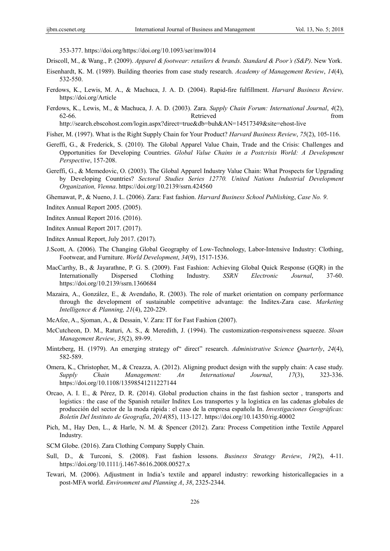353-377. https://doi.org/https://doi.org/10.1093/ser/mwl014

Driscoll, M., & Wang., P. (2009). *Apparel & footwear: retailers & brands. Standard & Poor's (S&P)*. New York.

- Eisenhardt, K. M. (1989). Building theories from case study research. *Academy of Management Review*, *14*(4), 532-550.
- Ferdows, K., Lewis, M. A., & Machuca, J. A. D. (2004). Rapid-fire fulfillment. *Harvard Business Review*. https://doi.org/Article
- Ferdows, K., Lewis, M., & Machuca, J. A. D. (2003). Zara. *Supply Chain Forum: International Journal*, *4*(2), 62-66. Retrieved from

http://search.ebscohost.com/login.aspx?direct=true&db=buh&AN=14517349&site=ehost-live

- Fisher, M. (1997). What is the Right Supply Chain for Your Product? *Harvard Business Review*, *75*(2), 105-116.
- Gereffi, G., & Frederick, S. (2010). The Global Apparel Value Chain, Trade and the Crisis: Challenges and Opportunities for Developing Countries. *Global Value Chains in a Postcrisis World: A Development Perspective*, 157-208.
- Gereffi, G., & Memedovic, O. (2003). The Global Apparel Industry Value Chain: What Prospects for Upgrading by Developing Countries? *Sectoral Studies Series 12770. United Nations Industrial Development Organization, Vienna*. https://doi.org/10.2139/ssrn.424560

Ghemawat, P., & Nueno, J. L. (2006). Zara: Fast fashion. *Harvard Business School Publishing*, *Case No. 9*.

Inditex Annual Report 2005. (2005).

- Inditex Annual Report 2016. (2016).
- Inditex Annual Report 2017. (2017).
- Inditex Annual Report, July 2017. (2017).
- J.Scott, A. (2006). The Changing Global Geography of Low-Technology, Labor-Intensive Industry: Clothing, Footwear, and Furniture. *World Development*, *34*(9), 1517-1536.
- MacCarthy, B., & Jayarathne, P. G. S. (2009). Fast Fashion: Achieving Global Quick Response (GQR) in the Internationally Dispersed Clothing Industry. *SSRN Electronic Journal*, 37-60. https://doi.org/10.2139/ssrn.1360684
- Mazaira, A., González, E., & Avendaño, R. (2003). The role of market orientation on company performance through the development of sustainable competitive advantage: the Inditex-Zara case. *Marketing Intelligence & Planning, 21*(4), 220-229.
- McAfee, A., Sjoman, A., & Dessain, V. Zara: IT for Fast Fashion (2007).
- McCutcheon, D. M., Raturi, A. S., & Meredith, J. (1994). The customization-responsiveness squeeze. *Sloan Management Review*, *35*(2), 89-99.
- Mintzberg, H. (1979). An emerging strategy of" direct" research. *Administrative Science Quarterly*, *24*(4), 582-589.
- Omera, K., Christopher, M., & Creazza, A. (2012). Aligning product design with the supply chain: A case study. *Supply Chain Management: An International Journal*, *17*(3), 323-336. https://doi.org/10.1108/13598541211227144
- Orcao, A. I. E., & Pérez, D. R. (2014). Global production chains in the fast fashion sector , transports and logistics : the case of the Spanish retailer Inditex Los transportes y la logística en las cadenas globales de producción del sector de la moda rápida : el caso de la empresa española In. *Investigaciones Geográficas: Boletín Del Instituto de Geografía*, *2014*(85), 113-127. https://doi.org/10.14350/rig.40002
- Pich, M., Hay Den, L., & Harle, N. M. & Spencer (2012). Zara: Process Competition inthe Textile Apparel Industry.
- SCM Globe. (2016). Zara Clothing Company Supply Chain.
- Sull, D., & Turconi, S. (2008). Fast fashion lessons. *Business Strategy Review*, *19*(2), 4-11. https://doi.org/10.1111/j.1467-8616.2008.00527.x
- Tewari, M. (2006). Adjustment in India's textile and apparel industry: reworking historicallegacies in a post-MFA world. *Environment and Planning A*, *38*, 2325-2344.